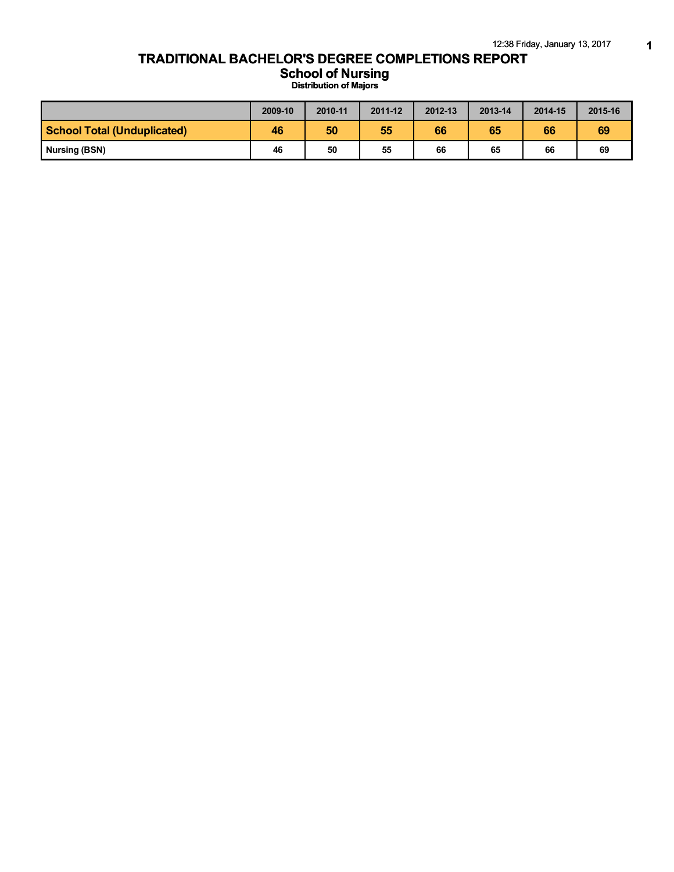## **TRADITIONAL BACHELOR'S DEGREE COMPLETIONS REPORT**

**School of Nursing**

**Distribution of Majors**

|                                    | 2009-10 | 2010-11 | 2011-12 | 2012-13 | 2013-14 | 2014-15 | 2015-16 |
|------------------------------------|---------|---------|---------|---------|---------|---------|---------|
| <b>School Total (Unduplicated)</b> | 46      | 50      | 55      | 66      | 65      | 66      | 69      |
| Nursing (BSN)                      | 46      | 50      | 55      | 66      | 65      | 66      | 69      |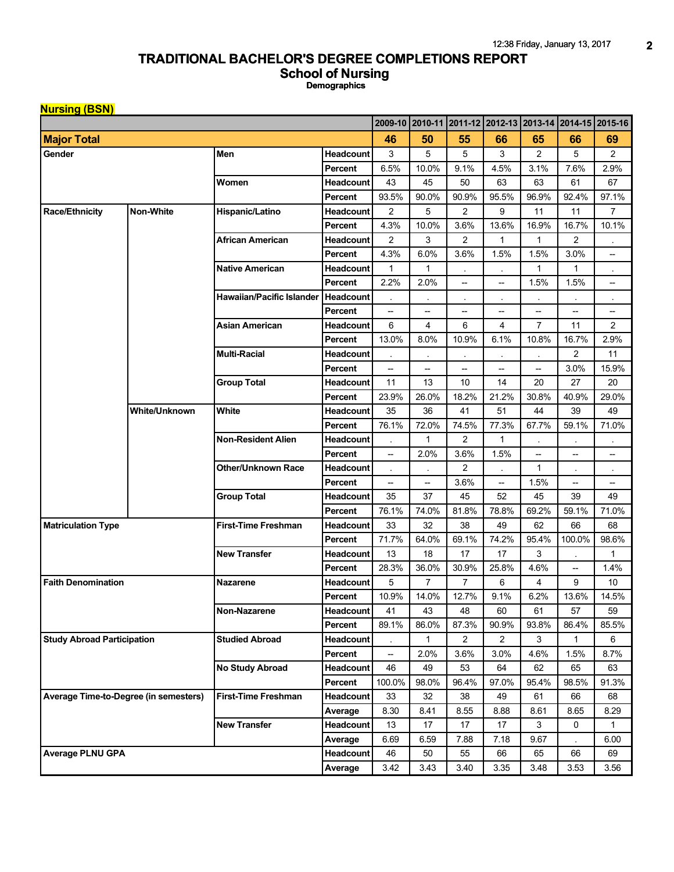## **TRADITIONAL BACHELOR'S DEGREE COMPLETIONS REPORT**

**School of Nursing**

**Demographics**

| <b>Nursing (BSN)</b>                  |                      |                            |                  |                                    |                         |                          |                          |                                                         |                          |                |
|---------------------------------------|----------------------|----------------------------|------------------|------------------------------------|-------------------------|--------------------------|--------------------------|---------------------------------------------------------|--------------------------|----------------|
|                                       |                      |                            |                  |                                    |                         |                          |                          | 2009-10 2010-11 2011-12 2012-13 2013-14 2014-15 2015-16 |                          |                |
| <b>Major Total</b>                    |                      |                            | 46               | 50                                 | 55                      | 66                       | 65                       | 66                                                      | 69                       |                |
| Gender                                |                      | Men                        | <b>Headcount</b> | 3                                  | 5                       | 5                        | 3                        | $\overline{2}$                                          | 5                        | $\overline{c}$ |
|                                       |                      |                            | Percent          | 6.5%                               | 10.0%                   | 9.1%                     | 4.5%                     | 3.1%                                                    | 7.6%                     | 2.9%           |
|                                       |                      | Women                      | Headcount        | 43                                 | 45                      | 50                       | 63                       | 63                                                      | 61                       | 67             |
|                                       |                      |                            | Percent          | 93.5%                              | 90.0%                   | 90.9%                    | 95.5%                    | 96.9%                                                   | 92.4%                    | 97.1%          |
| <b>Race/Ethnicity</b>                 | <b>Non-White</b>     | Hispanic/Latino            | Headcount        | 2                                  | 5                       | $\overline{2}$           | 9                        | 11                                                      | 11                       | $\overline{7}$ |
|                                       |                      |                            | Percent          | 4.3%                               | 10.0%                   | 3.6%                     | 13.6%                    | 16.9%                                                   | 16.7%                    | 10.1%          |
|                                       |                      | African American           | <b>Headcount</b> | $\overline{2}$                     | 3                       | $\overline{2}$           | 1                        | 1                                                       | $\overline{2}$           |                |
|                                       |                      |                            | Percent          | 4.3%                               | 6.0%                    | 3.6%                     | 1.5%                     | 1.5%                                                    | 3.0%                     | --             |
|                                       |                      | <b>Native American</b>     | <b>Headcount</b> | 1                                  | 1                       |                          |                          | $\mathbf{1}$                                            | 1                        |                |
|                                       |                      |                            | Percent          | 2.2%                               | 2.0%                    | $\overline{\phantom{0}}$ | --                       | 1.5%                                                    | 1.5%                     | --             |
|                                       |                      | Hawaiian/Pacific Islander  | <b>Headcount</b> |                                    | $\epsilon$              | $\bullet$                | ٠                        |                                                         |                          | $\bullet$      |
|                                       |                      |                            | Percent          | $\overline{\phantom{a}}$           | --                      | --                       | $\overline{\phantom{a}}$ | --                                                      | --                       | --             |
|                                       |                      | Asian American             | <b>Headcount</b> | 6                                  | $\overline{\mathbf{4}}$ | 6                        | 4                        | $\overline{7}$                                          | 11                       | $\overline{c}$ |
|                                       |                      |                            | Percent          | 13.0%                              | 8.0%                    | 10.9%                    | 6.1%                     | 10.8%                                                   | 16.7%                    | 2.9%           |
|                                       |                      | <b>Multi-Racial</b>        | Headcount        |                                    |                         |                          |                          |                                                         | 2                        | 11             |
|                                       |                      |                            | Percent          | $\hspace{0.05cm} -\hspace{0.05cm}$ | --                      | --                       | --                       | $\overline{\phantom{a}}$                                | 3.0%                     | 15.9%          |
|                                       |                      | <b>Group Total</b>         | <b>Headcount</b> | 11                                 | 13                      | 10                       | 14                       | 20                                                      | 27                       | 20             |
|                                       |                      |                            | Percent          | 23.9%                              | 26.0%                   | 18.2%                    | 21.2%                    | 30.8%                                                   | 40.9%                    | 29.0%          |
|                                       | <b>White/Unknown</b> | White                      | <b>Headcount</b> | 35                                 | 36                      | 41                       | 51                       | 44                                                      | 39                       | 49             |
|                                       |                      |                            | Percent          | 76.1%                              | 72.0%                   | 74.5%                    | 77.3%                    | 67.7%                                                   | 59.1%                    | 71.0%          |
|                                       |                      | <b>Non-Resident Alien</b>  | <b>Headcount</b> |                                    | 1                       | 2                        | 1                        |                                                         |                          |                |
|                                       |                      |                            | Percent          | $\overline{\phantom{a}}$           | 2.0%                    | 3.6%                     | 1.5%                     | --                                                      | --                       | --             |
|                                       |                      | <b>Other/Unknown Race</b>  | Headcount        |                                    |                         | $\overline{c}$           | ٠                        | $\mathbf{1}$                                            |                          | $\bullet$      |
|                                       |                      |                            | Percent          | $\overline{\phantom{a}}$           | --                      | 3.6%                     | --                       | 1.5%                                                    | $\overline{\phantom{a}}$ | --             |
|                                       |                      | <b>Group Total</b>         | <b>Headcount</b> | 35                                 | 37                      | 45                       | 52                       | 45                                                      | 39                       | 49             |
|                                       |                      |                            | Percent          | 76.1%                              | 74.0%                   | 81.8%                    | 78.8%                    | 69.2%                                                   | 59.1%                    | 71.0%          |
| <b>Matriculation Type</b>             |                      | <b>First-Time Freshman</b> | Headcount        | 33                                 | 32                      | 38                       | 49                       | 62                                                      | 66                       | 68             |
|                                       |                      |                            | Percent          | 71.7%                              | 64.0%                   | 69.1%                    | 74.2%                    | 95.4%                                                   | 100.0%                   | 98.6%          |
|                                       |                      | <b>New Transfer</b>        | <b>Headcount</b> | 13                                 | 18                      | 17                       | 17                       | 3                                                       |                          | 1              |
|                                       |                      |                            | <b>Percent</b>   | 28.3%                              | 36.0%                   | 30.9%                    | 25.8%                    | 4.6%                                                    | $\overline{\phantom{a}}$ | 1.4%           |
| <b>Faith Denomination</b>             |                      | <b>Nazarene</b>            | Headcount        | 5                                  | $\overline{7}$          | $\overline{7}$           | 6                        | 4                                                       | 9                        | 10             |
|                                       |                      |                            | Percent          | 10.9%                              | 14.0%                   | 12.7%                    | 9.1%                     | 6.2%                                                    | 13.6%                    | 14.5%          |
|                                       |                      | Non-Nazarene               | Headcount        | 41                                 | 43                      | 48                       | 60                       | 61                                                      | 57                       | 59             |
|                                       |                      | Percent                    | 89.1%            | 86.0%                              | 87.3%                   | 90.9%                    | 93.8%                    | 86.4%                                                   | 85.5%                    |                |
| <b>Study Abroad Participation</b>     |                      | <b>Studied Abroad</b>      | Headcount        |                                    | 1                       | 2                        | 2                        | 3                                                       | 1                        | 6              |
|                                       |                      |                            | Percent          | --                                 | 2.0%                    | 3.6%                     | 3.0%                     | 4.6%                                                    | 1.5%                     | 8.7%           |
|                                       |                      | <b>No Study Abroad</b>     | Headcount        | 46                                 | 49                      | 53                       | 64                       | 62                                                      | 65                       | 63             |
|                                       |                      | Percent                    | 100.0%           | 98.0%                              | 96.4%                   | 97.0%                    | 95.4%                    | 98.5%                                                   | 91.3%                    |                |
| Average Time-to-Degree (in semesters) |                      | <b>First-Time Freshman</b> | Headcount        | 33                                 | 32                      | 38                       | 49                       | 61                                                      | 66                       | 68             |
|                                       |                      |                            | Average          | 8.30                               | 8.41                    | 8.55                     | 8.88                     | 8.61                                                    | 8.65                     | 8.29           |
|                                       |                      | <b>New Transfer</b>        | Headcount        | 13                                 | 17                      | 17                       | 17                       | 3                                                       | 0                        | 1              |
|                                       |                      |                            | Average          | 6.69                               | 6.59                    | 7.88                     | 7.18                     | 9.67                                                    |                          | 6.00           |
| <b>Average PLNU GPA</b>               |                      |                            | Headcount        | 46                                 | 50                      | 55                       | 66                       | 65                                                      | 66                       | 69             |
|                                       |                      |                            | Average          | 3.42                               | 3.43                    | 3.40                     | 3.35                     | 3.48                                                    | 3.53                     | 3.56           |